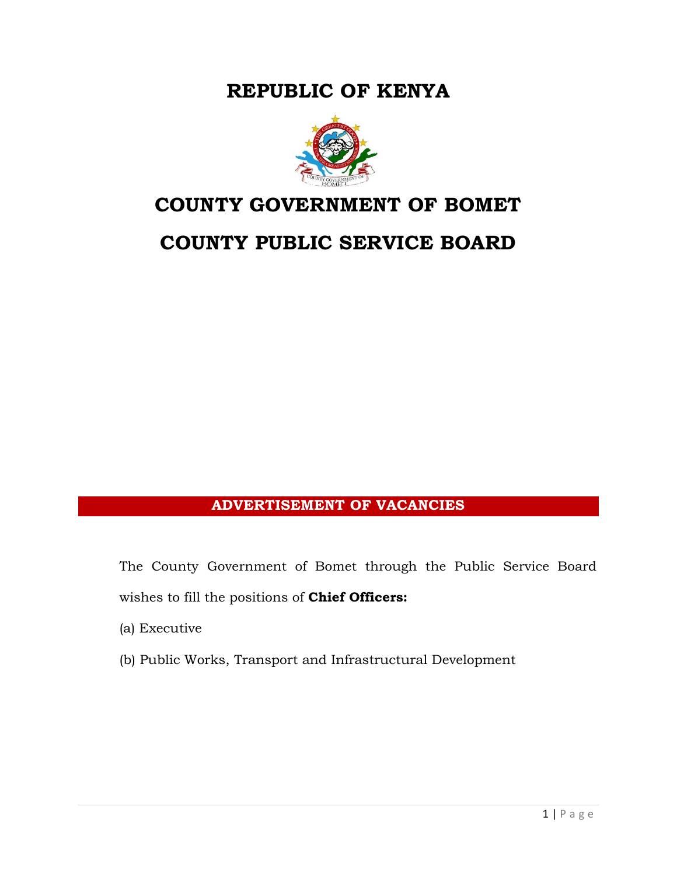**REPUBLIC OF KENYA**



## **COUNTY GOVERNMENT OF BOMET**

# **COUNTY PUBLIC SERVICE BOARD**

## **ADVERTISEMENT OF VACANCIES**

The County Government of Bomet through the Public Service Board wishes to fill the positions of **Chief Officers:**

(a) Executive

(b) Public Works, Transport and Infrastructural Development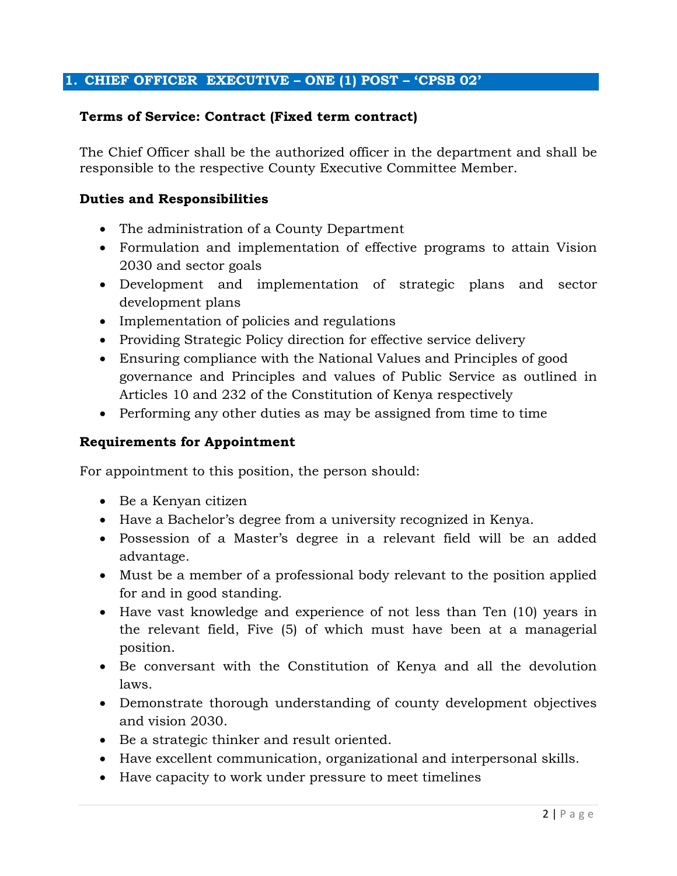#### **1. CHIEF OFFICER EXECUTIVE – ONE (1) POST – 'CPSB 02'**

#### **Terms of Service: Contract (Fixed term contract)**

The Chief Officer shall be the authorized officer in the department and shall be responsible to the respective County Executive Committee Member.

#### **Duties and Responsibilities**

- The administration of a County Department
- Formulation and implementation of effective programs to attain Vision 2030 and sector goals
- Development and implementation of strategic plans and sector development plans
- Implementation of policies and regulations
- Providing Strategic Policy direction for effective service delivery
- Ensuring compliance with the National Values and Principles of good governance and Principles and values of Public Service as outlined in Articles 10 and 232 of the Constitution of Kenya respectively
- Performing any other duties as may be assigned from time to time

#### **Requirements for Appointment**

For appointment to this position, the person should:

- Be a Kenyan citizen
- Have a Bachelor's degree from a university recognized in Kenya.
- Possession of a Master's degree in a relevant field will be an added advantage.
- Must be a member of a professional body relevant to the position applied for and in good standing.
- Have vast knowledge and experience of not less than Ten (10) years in the relevant field, Five (5) of which must have been at a managerial position.
- Be conversant with the Constitution of Kenya and all the devolution laws.
- Demonstrate thorough understanding of county development objectives and vision 2030.
- Be a strategic thinker and result oriented.
- Have excellent communication, organizational and interpersonal skills.
- Have capacity to work under pressure to meet timelines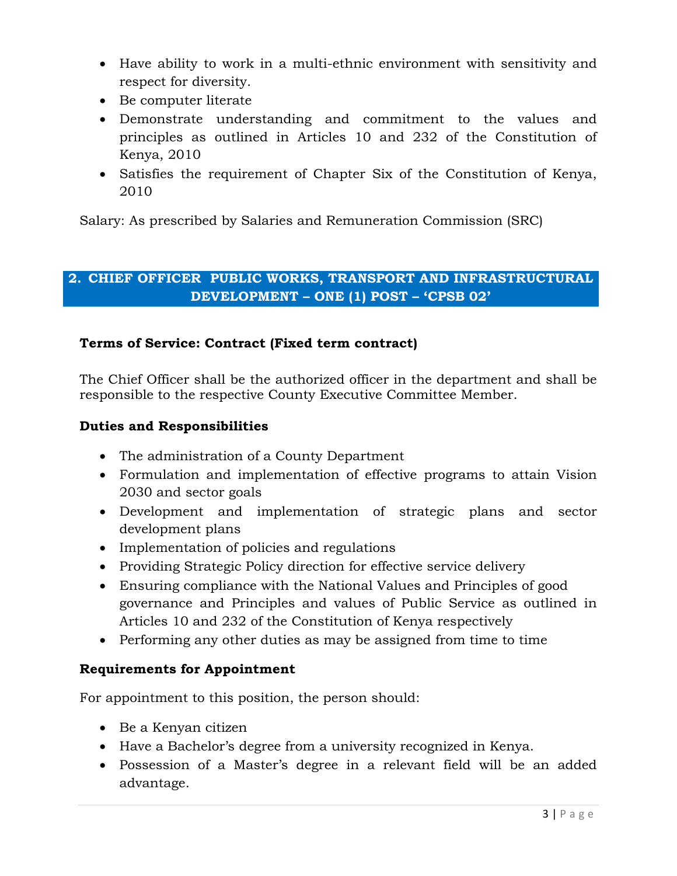- Have ability to work in a multi-ethnic environment with sensitivity and respect for diversity.
- Be computer literate
- Demonstrate understanding and commitment to the values and principles as outlined in Articles 10 and 232 of the Constitution of Kenya, 2010
- Satisfies the requirement of Chapter Six of the Constitution of Kenya, 2010

Salary: As prescribed by Salaries and Remuneration Commission (SRC)

### **2. CHIEF OFFICER PUBLIC WORKS, TRANSPORT AND INFRASTRUCTURAL DEVELOPMENT – ONE (1) POST – 'CPSB 02'**

#### **Terms of Service: Contract (Fixed term contract)**

The Chief Officer shall be the authorized officer in the department and shall be responsible to the respective County Executive Committee Member.

#### **Duties and Responsibilities**

- The administration of a County Department
- Formulation and implementation of effective programs to attain Vision 2030 and sector goals
- Development and implementation of strategic plans and sector development plans
- Implementation of policies and regulations
- Providing Strategic Policy direction for effective service delivery
- Ensuring compliance with the National Values and Principles of good governance and Principles and values of Public Service as outlined in Articles 10 and 232 of the Constitution of Kenya respectively
- Performing any other duties as may be assigned from time to time

#### **Requirements for Appointment**

For appointment to this position, the person should:

- Be a Kenyan citizen
- Have a Bachelor's degree from a university recognized in Kenya.
- Possession of a Master's degree in a relevant field will be an added advantage.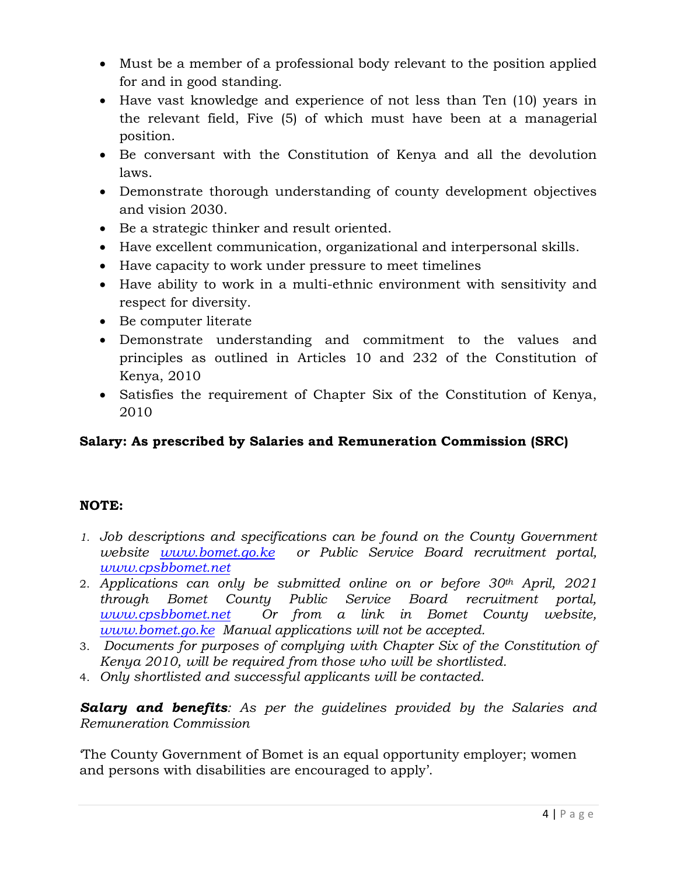- Must be a member of a professional body relevant to the position applied for and in good standing.
- Have vast knowledge and experience of not less than Ten (10) years in the relevant field, Five (5) of which must have been at a managerial position.
- Be conversant with the Constitution of Kenya and all the devolution laws.
- Demonstrate thorough understanding of county development objectives and vision 2030.
- Be a strategic thinker and result oriented.
- Have excellent communication, organizational and interpersonal skills.
- Have capacity to work under pressure to meet timelines
- Have ability to work in a multi-ethnic environment with sensitivity and respect for diversity.
- Be computer literate
- Demonstrate understanding and commitment to the values and principles as outlined in Articles 10 and 232 of the Constitution of Kenya, 2010
- Satisfies the requirement of Chapter Six of the Constitution of Kenya, 2010

## **Salary: As prescribed by Salaries and Remuneration Commission (SRC)**

## **NOTE:**

- *1. Job descriptions and specifications can be found on the County Government website [www.bomet.go.ke](http://www.bomet.go.ke/) or Public Service Board recruitment portal, [www.cpsbbomet.net](http://www.cpsbbomet.net/)*
- 2. *Applications can only be submitted online on or before 30th April, 2021 through Bomet County Public Service Board recruitment portal, [www.cpsbbomet.net](http://www.cpsbbomet.net/) Or from a link in Bomet County website, [www.bomet.go.ke](http://www.bomet.go.ke/) Manual applications will not be accepted.*
- 3. *Documents for purposes of complying with Chapter Six of the Constitution of Kenya 2010, will be required from those who will be shortlisted.*
- 4. *Only shortlisted and successful applicants will be contacted*.

*Salary and benefits: As per the guidelines provided by the Salaries and Remuneration Commission*

'The County Government of Bomet is an equal opportunity employer; women and persons with disabilities are encouraged to apply'.